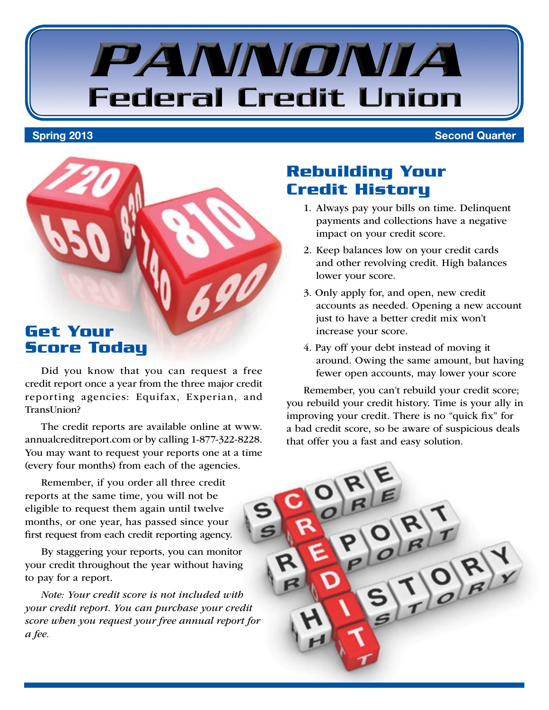# PANNONIA **Federal Credit Union**

Spring 2013 Second Quarter



Did you know that you can request a free credit report once a year from the three major credit reporting agencies: Equifax, Experian, and TransUnion?

The credit reports are available online at www. annualcreditreport.com or by calling 1-877-322-8228. You may want to request your reports one at a time (every four months) from each of the agencies.

Remember, if you order all three credit reports at the same time, you will not be eligible to request them again until twelve months, or one year, has passed since your first request from each credit reporting agency.

By staggering your reports, you can monitor your credit throughout the year without having to pay for a report.

*Note: Your credit score is not included with your credit report. You can purchase your credit score when you request your free annual report for a fee.*

# **Rebuilding Your Credit History**

- 1. Always pay your bills on time. Delinquent payments and collections have a negative impact on your credit score.
- 2. Keep balances low on your credit cards and other revolving credit. High balances lower your score.
- 3. Only apply for, and open, new credit accounts as needed. Opening a new account just to have a better credit mix won't increase your score.
- 4. Pay off your debt instead of moving it around. Owing the same amount, but having fewer open accounts, may lower your score

Remember, you can't rebuild your credit score; you rebuild your credit history. Time is your ally in improving your credit. There is no "quick fix" for a bad credit score, so be aware of suspicious deals that offer you a fast and easy solution.

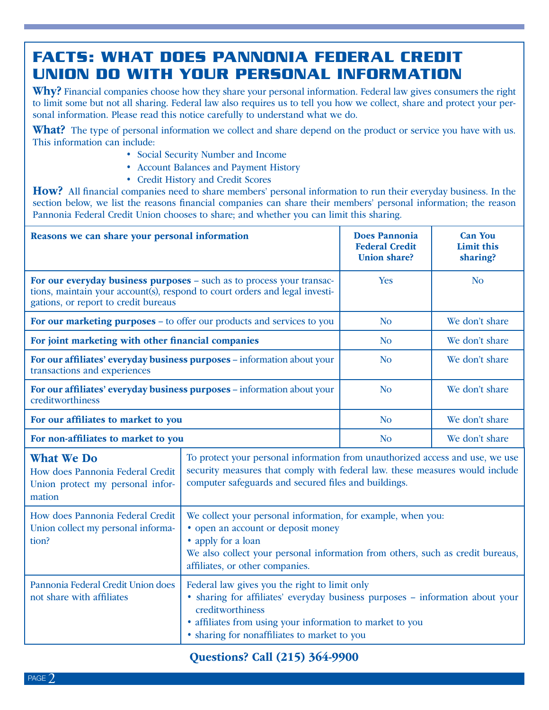# **FACTS: WHAT DOES PANNONIA FEDERAL CREDIT UNION DO WITH YOUR PERSONAL INFORMATION**

Why? Financial companies choose how they share your personal information. Federal law gives consumers the right to limit some but not all sharing. Federal law also requires us to tell you how we collect, share and protect your personal information. Please read this notice carefully to understand what we do.

**What?** The type of personal information we collect and share depend on the product or service you have with us. This information can include:

- Social Security Number and Income
- Account Balances and Payment History
- Credit History and Credit Scores

How? All financial companies need to share members' personal information to run their everyday business. In the section below, we list the reasons financial companies can share their members' personal information; the reason Pannonia Federal Credit Union chooses to share; and whether you can limit this sharing.

| Reasons we can share your personal information                                                                                                                                               |                                                                                                                                                                                                                                                                 | <b>Does Pannonia</b><br><b>Federal Credit</b><br><b>Union share?</b> | <b>Can You</b><br>Limit this<br>sharing? |
|----------------------------------------------------------------------------------------------------------------------------------------------------------------------------------------------|-----------------------------------------------------------------------------------------------------------------------------------------------------------------------------------------------------------------------------------------------------------------|----------------------------------------------------------------------|------------------------------------------|
| For our everyday business purposes - such as to process your transac-<br>tions, maintain your account(s), respond to court orders and legal investi-<br>gations, or report to credit bureaus |                                                                                                                                                                                                                                                                 | <b>Yes</b>                                                           | <b>No</b>                                |
| For our marketing purposes – to offer our products and services to you                                                                                                                       |                                                                                                                                                                                                                                                                 | N <sub>0</sub>                                                       | We don't share                           |
| For joint marketing with other financial companies                                                                                                                                           |                                                                                                                                                                                                                                                                 | <b>No</b>                                                            | We don't share                           |
| For our affiliates' everyday business purposes - information about your<br>transactions and experiences                                                                                      |                                                                                                                                                                                                                                                                 | <b>No</b>                                                            | We don't share                           |
| For our affiliates' everyday business purposes - information about your<br>creditworthiness                                                                                                  |                                                                                                                                                                                                                                                                 | <b>No</b>                                                            | We don't share                           |
| For our affiliates to market to you                                                                                                                                                          |                                                                                                                                                                                                                                                                 | N <sub>o</sub>                                                       | We don't share                           |
| For non-affiliates to market to you                                                                                                                                                          |                                                                                                                                                                                                                                                                 | <b>No</b>                                                            | We don't share                           |
| <b>What We Do</b><br>How does Pannonia Federal Credit<br>Union protect my personal infor-<br>mation                                                                                          | To protect your personal information from unauthorized access and use, we use<br>security measures that comply with federal law. these measures would include<br>computer safeguards and secured files and buildings.                                           |                                                                      |                                          |
| How does Pannonia Federal Credit<br>Union collect my personal informa-<br>tion?                                                                                                              | We collect your personal information, for example, when you:<br>• open an account or deposit money<br>• apply for a loan<br>We also collect your personal information from others, such as credit bureaus,<br>affiliates, or other companies.                   |                                                                      |                                          |
| Pannonia Federal Credit Union does<br>not share with affiliates                                                                                                                              | Federal law gives you the right to limit only<br>· sharing for affiliates' everyday business purposes - information about your<br>creditworthiness<br>· affiliates from using your information to market to you<br>• sharing for nonaffiliates to market to you |                                                                      |                                          |

### Questions? Call (215) 364-9900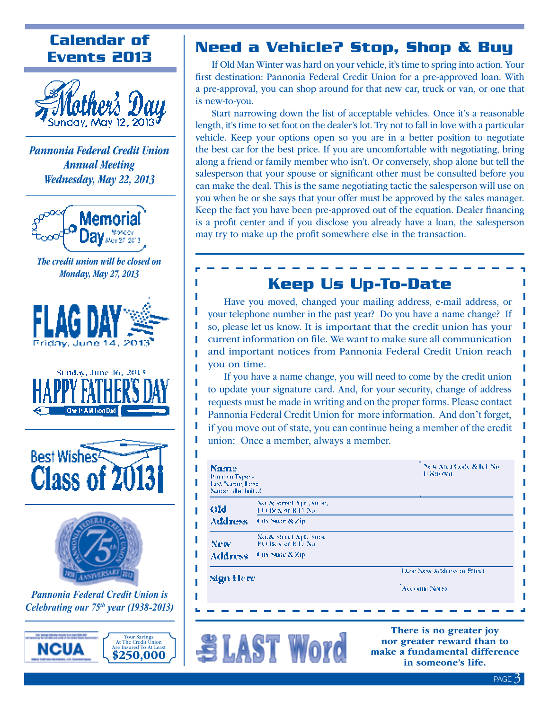# **Calendar of Events 2013**



*Pannonia Federal Credit Union Annual Meeting Wednesday, May 22, 2013*



*The credit union will be closed on Monday, May 27, 2013*

> Ţ I Ţ I

> Ī I I

> I I









*Pannonia Federal Credit Union is Celebrating our 75th year (1938-2013)*



# **Need a Vehicle? Stop, Shop & Buy**

If Old Man Winter was hard on your vehicle, it's time to spring into action. Your first destination: Pannonia Federal Credit Union for a pre-approved loan. With a pre-approval, you can shop around for that new car, truck or van, or one that is new-to-you.

Start narrowing down the list of acceptable vehicles. Once it's a reasonable length, it's time to set foot on the dealer's lot. Try not to fall in love with a particular vehicle. Keep your options open so you are in a better position to negotiate the best car for the best price. If you are uncomfortable with negotiating, bring along a friend or family member who isn't. Or conversely, shop alone but tell the salesperson that your spouse or significant other must be consulted before you can make the deal. This is the same negotiating tactic the salesperson will use on you when he or she says that your offer must be approved by the sales manager. Keep the fact you have been pre-approved out of the equation. Dealer financing is a profit center and if you disclose you already have a loan, the salesperson may try to make up the profit somewhere else in the transaction.

## **Keep Us Up-To-Date**

Have you moved, changed your mailing address, e-mail address, or your telephone number in the past year? Do you have a name change? If so, please let us know. It is important that the credit union has your current information on file. We want to make sure all communication and important notices from Pannonia Federal Credit Union reach you on time.

If you have a name change, you will need to come by the credit union to update your signature card. And, for your security, change of address requests must be made in writing and on the proper forms. Please contact Pannonia Federal Credit Union for more information. And don't forget, if you move out of state, you can continue being a member of the credit union: Once a member, always a member.

| Name<br>Print on Typess<br>Les Name Line<br>Name: Mal Initial |                                              | New Area Gody & Ed. No.<br>11 Strown        |  |
|---------------------------------------------------------------|----------------------------------------------|---------------------------------------------|--|
| OM                                                            | Not be served from Norte,<br>FUERWALKEEPS    |                                             |  |
| Address On Star & Zip                                         |                                              |                                             |  |
| New:                                                          | No. & Street Apt. Suite<br>PO Boy of RTJ No. |                                             |  |
| <b>Address</b>                                                | 4 in State & Zip.                            |                                             |  |
| Sign Here                                                     |                                              | Line New Arthurs on Effect<br>Account Notes |  |
|                                                               |                                              |                                             |  |



There is no greater joy nor greater reward than to make a fundamental difference in someone's life.

ı